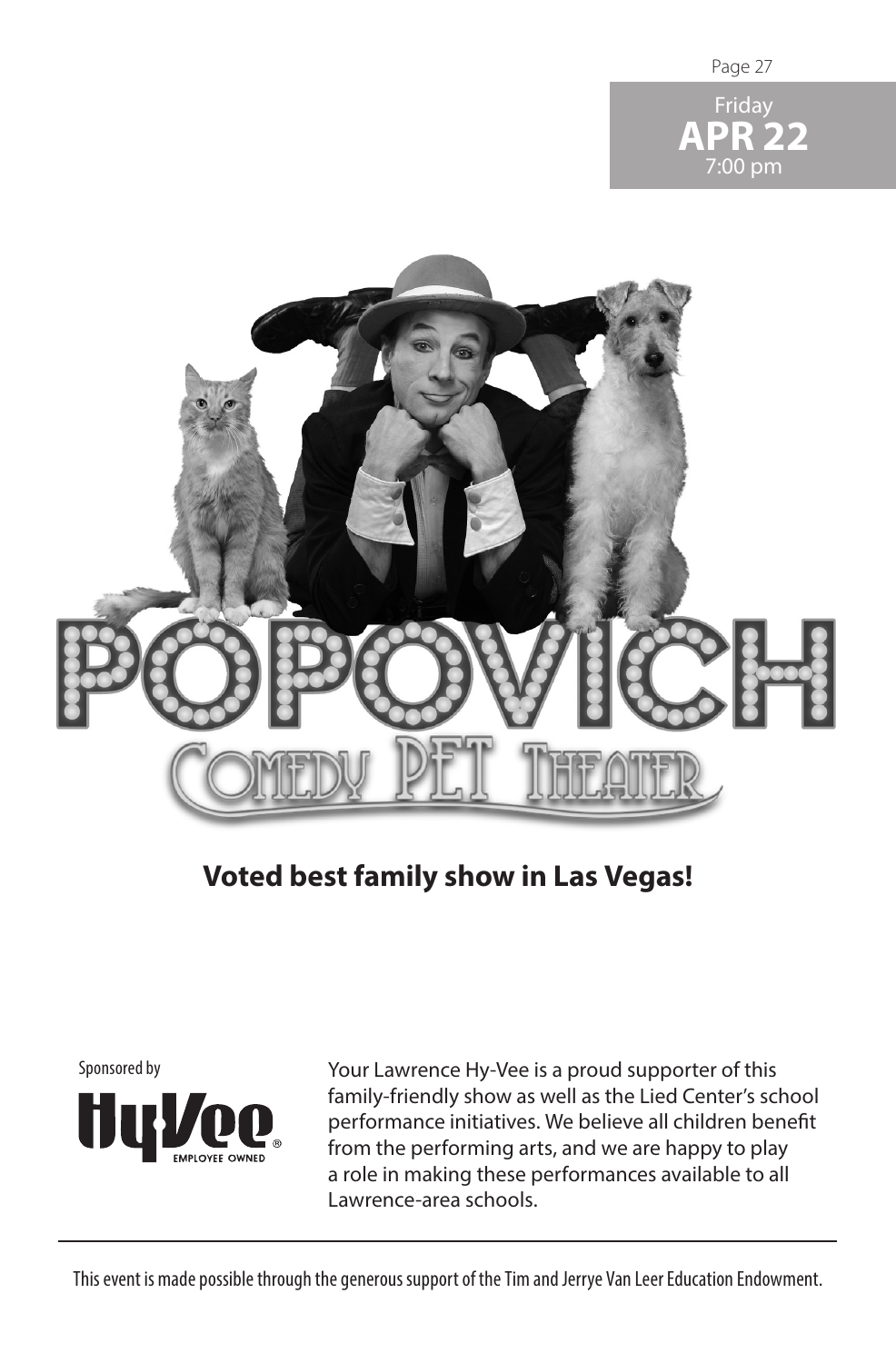





## **Voted best family show in Las Vegas!**



Your Lawrence Hy-Vee is a proud supporter of this family-friendly show as well as the Lied Center's school performance initiatives. We believe all children benefit from the performing arts, and we are happy to play a role in making these performances available to all Lawrence-area schools.

This event is made possible through the generous support of the Tim and Jerrye Van Leer Education Endowment.